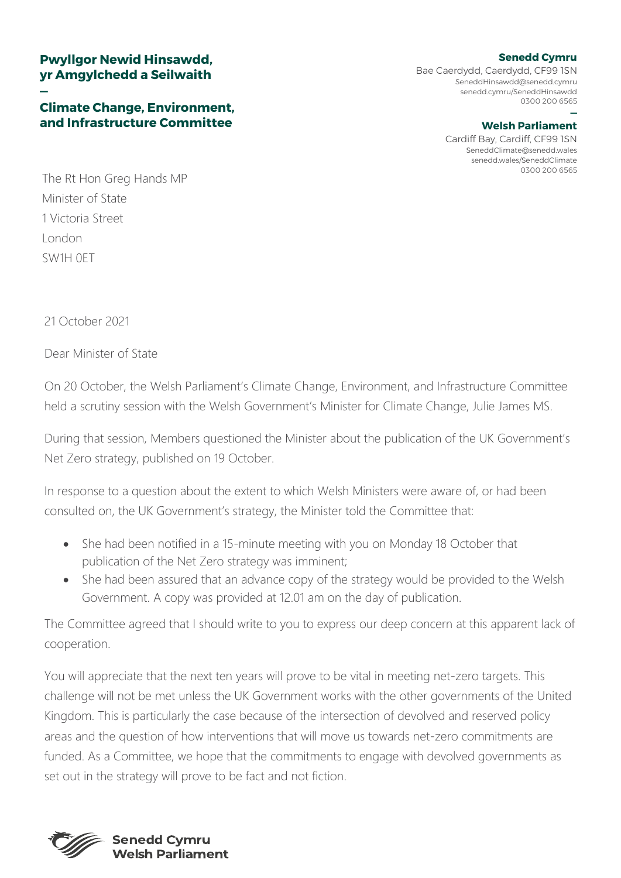## **Pwyllgor Newid Hinsawdd, yr Amgylchedd a Seilwaith**

## **— Climate Change, Environment, and Infrastructure Committee**

## **[Senedd Cymru](mailto:SeneddHinsawdd@senedd.cymru)**

Bae Caerdydd, Caerdydd, CF99 1SN SeneddHinsawdd@senedd.cymru senedd.cymru/SeneddHinsawdd 0300 200 6565

## **— [Welsh Parliament](mailto:SeneddClimate@senedd.wales)**

Cardiff Bay, Cardiff, CF99 1SN SeneddClimate@senedd.wales senedd.wales/SeneddClimate 0300 200 6565

The Rt Hon Greg Hands MP Minister of State 1 Victoria Street London SW1H 0ET

21 October 2021

Dear Minister of State

On 20 October, the Welsh Parliament's Climate Change, Environment, and Infrastructure Committee held a scrutiny session with the Welsh Government's Minister for Climate Change, Julie James MS.

During that session, Members questioned the Minister about the publication of the UK Government's Net Zero strategy, published on 19 October.

In response to a question about the extent to which Welsh Ministers were aware of, or had been consulted on, the UK Government's strategy, the Minister told the Committee that:

- She had been notified in a 15-minute meeting with you on Monday 18 October that publication of the Net Zero strategy was imminent;
- She had been assured that an advance copy of the strategy would be provided to the Welsh Government. A copy was provided at 12.01 am on the day of publication.

The Committee agreed that I should write to you to express our deep concern at this apparent lack of cooperation.

You will appreciate that the next ten years will prove to be vital in meeting net-zero targets. This challenge will not be met unless the UK Government works with the other governments of the United Kingdom. This is particularly the case because of the intersection of devolved and reserved policy areas and the question of how interventions that will move us towards net-zero commitments are funded. As a Committee, we hope that the commitments to engage with devolved governments as set out in the strategy will prove to be fact and not fiction.